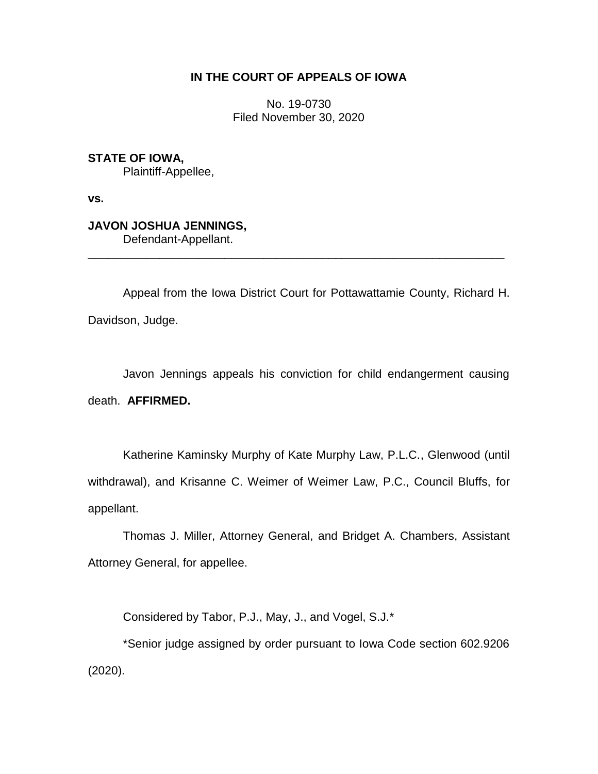## **IN THE COURT OF APPEALS OF IOWA**

No. 19-0730 Filed November 30, 2020

**STATE OF IOWA,** Plaintiff-Appellee,

**vs.**

# **JAVON JOSHUA JENNINGS,**

Defendant-Appellant.

Appeal from the Iowa District Court for Pottawattamie County, Richard H. Davidson, Judge.

\_\_\_\_\_\_\_\_\_\_\_\_\_\_\_\_\_\_\_\_\_\_\_\_\_\_\_\_\_\_\_\_\_\_\_\_\_\_\_\_\_\_\_\_\_\_\_\_\_\_\_\_\_\_\_\_\_\_\_\_\_\_\_\_

Javon Jennings appeals his conviction for child endangerment causing death. **AFFIRMED.**

Katherine Kaminsky Murphy of Kate Murphy Law, P.L.C., Glenwood (until withdrawal), and Krisanne C. Weimer of Weimer Law, P.C., Council Bluffs, for appellant.

Thomas J. Miller, Attorney General, and Bridget A. Chambers, Assistant Attorney General, for appellee.

Considered by Tabor, P.J., May, J., and Vogel, S.J.\*

\*Senior judge assigned by order pursuant to Iowa Code section 602.9206 (2020).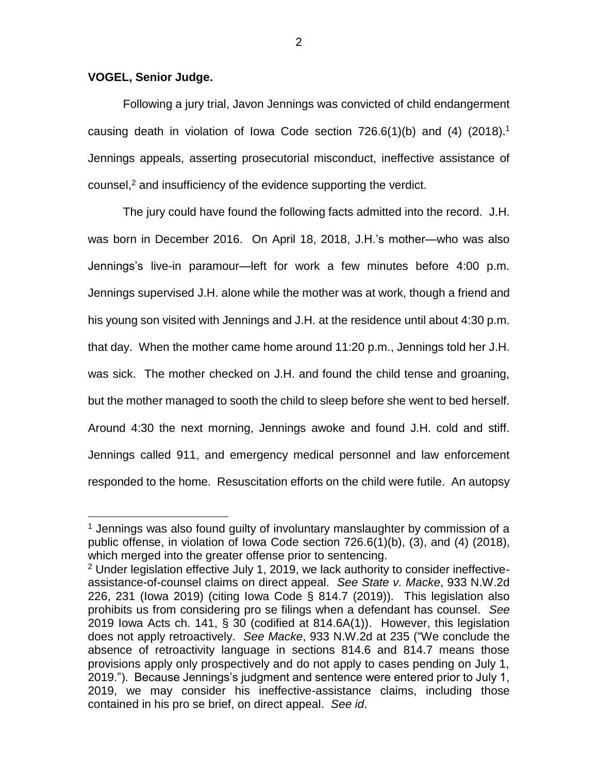#### **VOGEL, Senior Judge.**

 $\overline{a}$ 

Following a jury trial, Javon Jennings was convicted of child endangerment causing death in violation of Iowa Code section  $726.6(1)(b)$  and (4)  $(2018).<sup>1</sup>$ Jennings appeals, asserting prosecutorial misconduct, ineffective assistance of counsel, <sup>2</sup> and insufficiency of the evidence supporting the verdict.

The jury could have found the following facts admitted into the record. J.H. was born in December 2016. On April 18, 2018, J.H.'s mother—who was also Jennings's live-in paramour—left for work a few minutes before 4:00 p.m. Jennings supervised J.H. alone while the mother was at work, though a friend and his young son visited with Jennings and J.H. at the residence until about 4:30 p.m. that day. When the mother came home around 11:20 p.m., Jennings told her J.H. was sick. The mother checked on J.H. and found the child tense and groaning, but the mother managed to sooth the child to sleep before she went to bed herself. Around 4:30 the next morning, Jennings awoke and found J.H. cold and stiff. Jennings called 911, and emergency medical personnel and law enforcement responded to the home. Resuscitation efforts on the child were futile. An autopsy

2

 $1$  Jennings was also found quilty of involuntary manslaughter by commission of a public offense, in violation of Iowa Code section 726.6(1)(b), (3), and (4) (2018), which merged into the greater offense prior to sentencing.

<sup>2</sup> Under legislation effective July 1, 2019, we lack authority to consider ineffectiveassistance-of-counsel claims on direct appeal. *See State v. Macke*, 933 N.W.2d 226, 231 (Iowa 2019) (citing Iowa Code § 814.7 (2019)). This legislation also prohibits us from considering pro se filings when a defendant has counsel. *See*  2019 Iowa Acts ch. 141, § 30 (codified at 814.6A(1)). However, this legislation does not apply retroactively. *See Macke*, 933 N.W.2d at 235 ("We conclude the absence of retroactivity language in sections 814.6 and 814.7 means those provisions apply only prospectively and do not apply to cases pending on July 1, 2019."). Because Jennings's judgment and sentence were entered prior to July 1, 2019, we may consider his ineffective-assistance claims, including those contained in his pro se brief, on direct appeal. *See id*.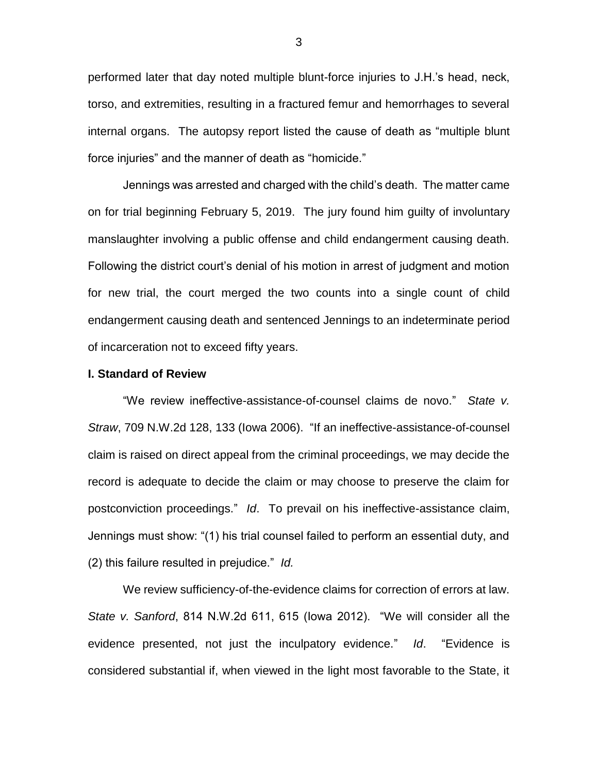performed later that day noted multiple blunt-force injuries to J.H.'s head, neck, torso, and extremities, resulting in a fractured femur and hemorrhages to several internal organs. The autopsy report listed the cause of death as "multiple blunt force injuries" and the manner of death as "homicide."

Jennings was arrested and charged with the child's death. The matter came on for trial beginning February 5, 2019. The jury found him guilty of involuntary manslaughter involving a public offense and child endangerment causing death. Following the district court's denial of his motion in arrest of judgment and motion for new trial, the court merged the two counts into a single count of child endangerment causing death and sentenced Jennings to an indeterminate period of incarceration not to exceed fifty years.

#### **I. Standard of Review**

"We review ineffective-assistance-of-counsel claims de novo." *State v. Straw*, 709 N.W.2d 128, 133 (Iowa 2006). "If an ineffective-assistance-of-counsel claim is raised on direct appeal from the criminal proceedings, we may decide the record is adequate to decide the claim or may choose to preserve the claim for postconviction proceedings." *Id*. To prevail on his ineffective-assistance claim, Jennings must show: "(1) his trial counsel failed to perform an essential duty, and (2) this failure resulted in prejudice." *Id.* 

We review sufficiency-of-the-evidence claims for correction of errors at law. *State v. Sanford*, 814 N.W.2d 611, 615 (Iowa 2012). "We will consider all the evidence presented, not just the inculpatory evidence." *Id*. "Evidence is considered substantial if, when viewed in the light most favorable to the State, it

3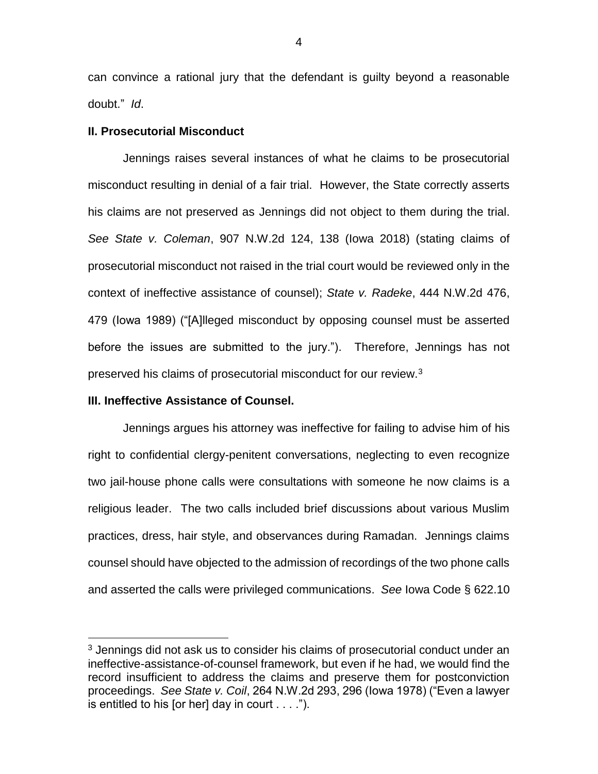can convince a rational jury that the defendant is guilty beyond a reasonable doubt." *Id*.

#### **II. Prosecutorial Misconduct**

Jennings raises several instances of what he claims to be prosecutorial misconduct resulting in denial of a fair trial. However, the State correctly asserts his claims are not preserved as Jennings did not object to them during the trial. *See State v. Coleman*, 907 N.W.2d 124, 138 (Iowa 2018) (stating claims of prosecutorial misconduct not raised in the trial court would be reviewed only in the context of ineffective assistance of counsel); *State v. Radeke*, 444 N.W.2d 476, 479 (Iowa 1989) ("[A]lleged misconduct by opposing counsel must be asserted before the issues are submitted to the jury."). Therefore, Jennings has not preserved his claims of prosecutorial misconduct for our review.<sup>3</sup>

#### **III. Ineffective Assistance of Counsel.**

 $\overline{a}$ 

Jennings argues his attorney was ineffective for failing to advise him of his right to confidential clergy-penitent conversations, neglecting to even recognize two jail-house phone calls were consultations with someone he now claims is a religious leader. The two calls included brief discussions about various Muslim practices, dress, hair style, and observances during Ramadan. Jennings claims counsel should have objected to the admission of recordings of the two phone calls and asserted the calls were privileged communications. *See* Iowa Code § 622.10

<sup>3</sup> Jennings did not ask us to consider his claims of prosecutorial conduct under an ineffective-assistance-of-counsel framework, but even if he had, we would find the record insufficient to address the claims and preserve them for postconviction proceedings. *See State v. Coil*, 264 N.W.2d 293, 296 (Iowa 1978) ("Even a lawyer is entitled to his [or her] day in court  $\dots$ .").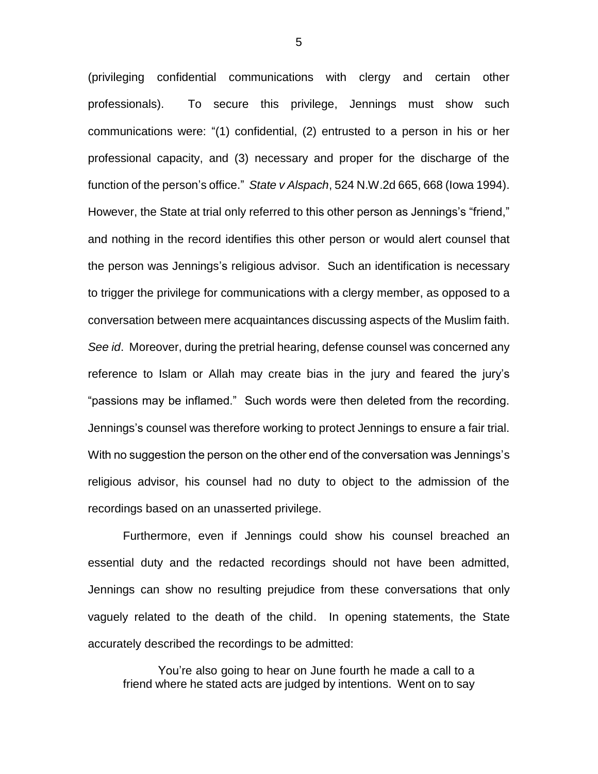(privileging confidential communications with clergy and certain other professionals). To secure this privilege, Jennings must show such communications were: "(1) confidential, (2) entrusted to a person in his or her professional capacity, and (3) necessary and proper for the discharge of the function of the person's office." *State v Alspach*, 524 N.W.2d 665, 668 (Iowa 1994). However, the State at trial only referred to this other person as Jennings's "friend," and nothing in the record identifies this other person or would alert counsel that the person was Jennings's religious advisor. Such an identification is necessary to trigger the privilege for communications with a clergy member, as opposed to a conversation between mere acquaintances discussing aspects of the Muslim faith. *See id*. Moreover, during the pretrial hearing, defense counsel was concerned any reference to Islam or Allah may create bias in the jury and feared the jury's "passions may be inflamed." Such words were then deleted from the recording. Jennings's counsel was therefore working to protect Jennings to ensure a fair trial. With no suggestion the person on the other end of the conversation was Jennings's religious advisor, his counsel had no duty to object to the admission of the recordings based on an unasserted privilege.

Furthermore, even if Jennings could show his counsel breached an essential duty and the redacted recordings should not have been admitted, Jennings can show no resulting prejudice from these conversations that only vaguely related to the death of the child. In opening statements, the State accurately described the recordings to be admitted:

You're also going to hear on June fourth he made a call to a friend where he stated acts are judged by intentions. Went on to say

5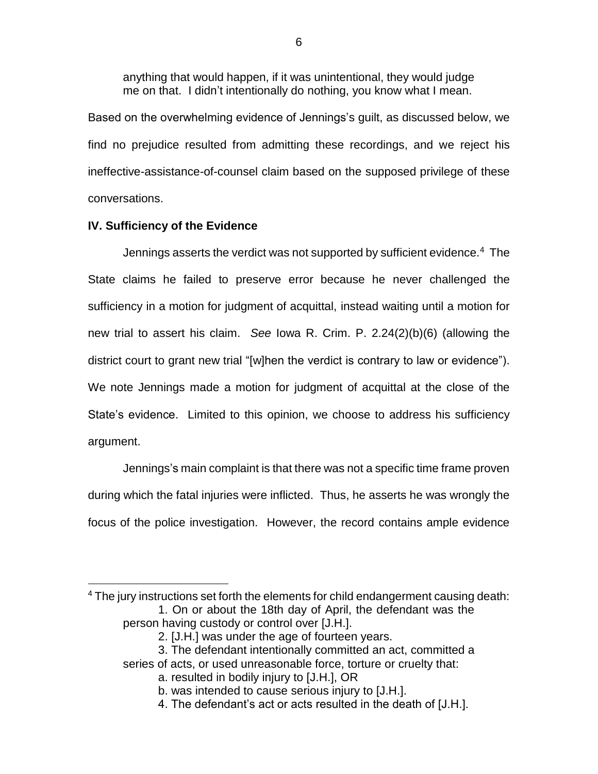anything that would happen, if it was unintentional, they would judge me on that. I didn't intentionally do nothing, you know what I mean.

Based on the overwhelming evidence of Jennings's guilt, as discussed below, we find no prejudice resulted from admitting these recordings, and we reject his ineffective-assistance-of-counsel claim based on the supposed privilege of these conversations.

## **IV. Sufficiency of the Evidence**

Jennings asserts the verdict was not supported by sufficient evidence.<sup>4</sup> The State claims he failed to preserve error because he never challenged the sufficiency in a motion for judgment of acquittal, instead waiting until a motion for new trial to assert his claim. *See* Iowa R. Crim. P. 2.24(2)(b)(6) (allowing the district court to grant new trial "[w]hen the verdict is contrary to law or evidence"). We note Jennings made a motion for judgment of acquittal at the close of the State's evidence. Limited to this opinion, we choose to address his sufficiency argument.

Jennings's main complaint is that there was not a specific time frame proven during which the fatal injuries were inflicted. Thus, he asserts he was wrongly the focus of the police investigation. However, the record contains ample evidence

 $\overline{a}$ <sup>4</sup> The jury instructions set forth the elements for child endangerment causing death: 1. On or about the 18th day of April, the defendant was the person having custody or control over [J.H.].

<sup>2. [</sup>J.H.] was under the age of fourteen years.

<sup>3.</sup> The defendant intentionally committed an act, committed a

series of acts, or used unreasonable force, torture or cruelty that:

a. resulted in bodily injury to [J.H.], OR

b. was intended to cause serious injury to [J.H.].

<sup>4.</sup> The defendant's act or acts resulted in the death of [J.H.].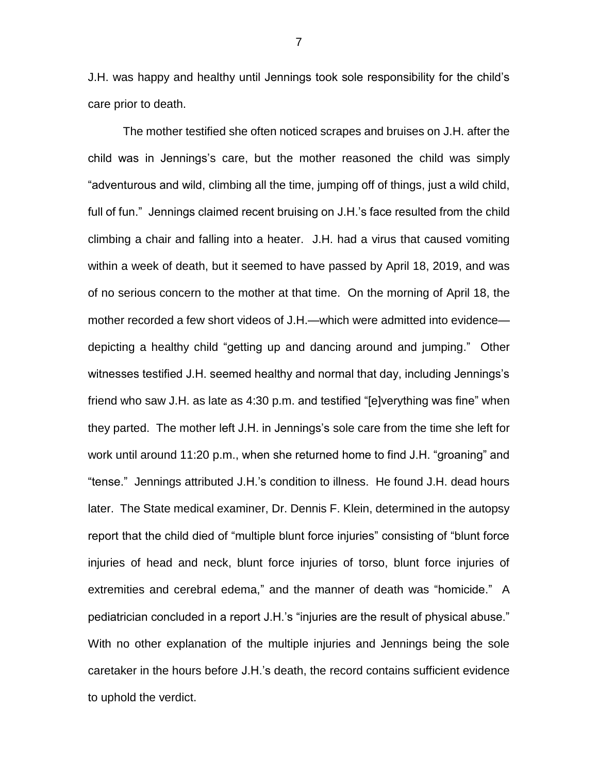J.H. was happy and healthy until Jennings took sole responsibility for the child's care prior to death.

The mother testified she often noticed scrapes and bruises on J.H. after the child was in Jennings's care, but the mother reasoned the child was simply "adventurous and wild, climbing all the time, jumping off of things, just a wild child, full of fun." Jennings claimed recent bruising on J.H.'s face resulted from the child climbing a chair and falling into a heater. J.H. had a virus that caused vomiting within a week of death, but it seemed to have passed by April 18, 2019, and was of no serious concern to the mother at that time. On the morning of April 18, the mother recorded a few short videos of J.H.—which were admitted into evidence depicting a healthy child "getting up and dancing around and jumping." Other witnesses testified J.H. seemed healthy and normal that day, including Jennings's friend who saw J.H. as late as 4:30 p.m. and testified "[e]verything was fine" when they parted. The mother left J.H. in Jennings's sole care from the time she left for work until around 11:20 p.m., when she returned home to find J.H. "groaning" and "tense." Jennings attributed J.H.'s condition to illness. He found J.H. dead hours later. The State medical examiner, Dr. Dennis F. Klein, determined in the autopsy report that the child died of "multiple blunt force injuries" consisting of "blunt force injuries of head and neck, blunt force injuries of torso, blunt force injuries of extremities and cerebral edema," and the manner of death was "homicide." A pediatrician concluded in a report J.H.'s "injuries are the result of physical abuse." With no other explanation of the multiple injuries and Jennings being the sole caretaker in the hours before J.H.'s death, the record contains sufficient evidence to uphold the verdict.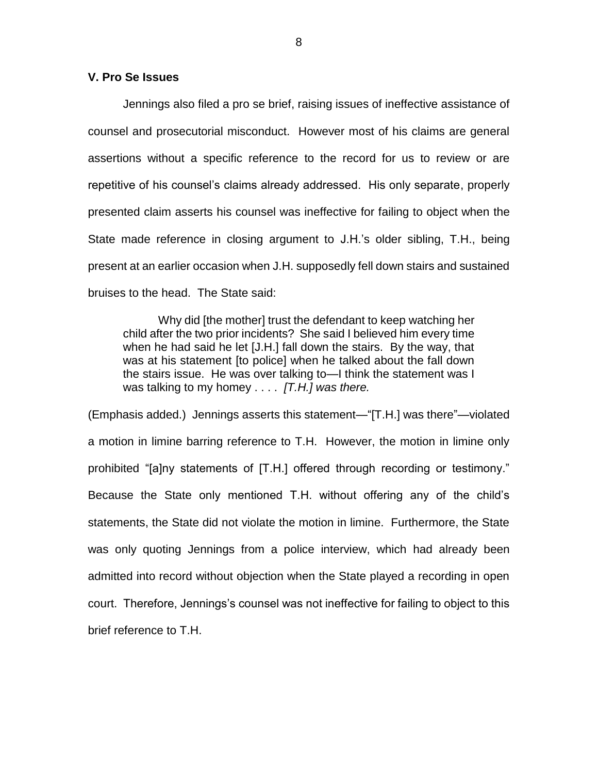### **V. Pro Se Issues**

Jennings also filed a pro se brief, raising issues of ineffective assistance of counsel and prosecutorial misconduct. However most of his claims are general assertions without a specific reference to the record for us to review or are repetitive of his counsel's claims already addressed. His only separate, properly presented claim asserts his counsel was ineffective for failing to object when the State made reference in closing argument to J.H.'s older sibling, T.H., being present at an earlier occasion when J.H. supposedly fell down stairs and sustained bruises to the head. The State said:

Why did [the mother] trust the defendant to keep watching her child after the two prior incidents? She said I believed him every time when he had said he let [J.H.] fall down the stairs. By the way, that was at his statement [to police] when he talked about the fall down the stairs issue. He was over talking to—I think the statement was I was talking to my homey . . . . *[T.H.] was there.* 

(Emphasis added.) Jennings asserts this statement—"[T.H.] was there"—violated a motion in limine barring reference to T.H. However, the motion in limine only prohibited "[a]ny statements of [T.H.] offered through recording or testimony." Because the State only mentioned T.H. without offering any of the child's statements, the State did not violate the motion in limine. Furthermore, the State was only quoting Jennings from a police interview, which had already been admitted into record without objection when the State played a recording in open court. Therefore, Jennings's counsel was not ineffective for failing to object to this brief reference to T.H.